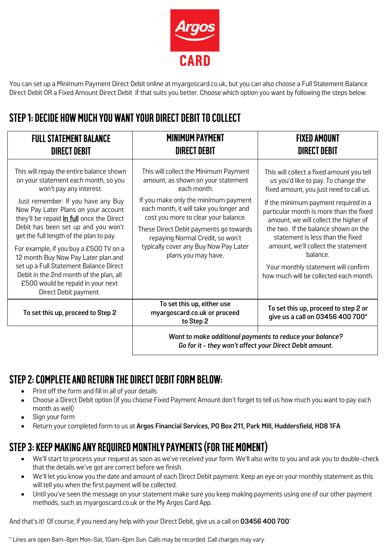

You can set up a Minimum Payment Direct Debit online at myargoscard.co.uk, but you can also choose a Full Statement Balance Direct Debit OR a Fixed Amount Direct Debit if that suits you better. Choose which option you want by following the steps below.

## **STEP 1: DECIDE HOW MUCH YOU WANT YOUR DIRECT DEBIT TO COLLECT**

| <b>FULL STATEMENT BALANCE</b><br><b>DIRECT DEBIT</b>                                                                                                                                                                                                                                                                                                                                                                                                                                                                                                        | <b>MINIMUM PAYMENT</b><br><b>DIRECT DEBIT</b>                                                                                                                                                                                                                                                                                                                       | <b>FIXED AMOUNT</b><br><b>DIRECT DEBIT</b>                                                                                                                                                                                                                                                                                                                                                                                                                              |
|-------------------------------------------------------------------------------------------------------------------------------------------------------------------------------------------------------------------------------------------------------------------------------------------------------------------------------------------------------------------------------------------------------------------------------------------------------------------------------------------------------------------------------------------------------------|---------------------------------------------------------------------------------------------------------------------------------------------------------------------------------------------------------------------------------------------------------------------------------------------------------------------------------------------------------------------|-------------------------------------------------------------------------------------------------------------------------------------------------------------------------------------------------------------------------------------------------------------------------------------------------------------------------------------------------------------------------------------------------------------------------------------------------------------------------|
| This will repay the entire balance shown<br>on your statement each month, so you<br>won't pay any interest.<br>Just remember: If you have any Buy<br>Now Pay Later Plans on your account<br>they'll be repaid in full once the Direct<br>Debit has been set up and you won't<br>get the full length of the plan to pay.<br>For example, if you buy a £500 TV on a<br>12 month Buy Now Pay Later plan and<br>set up a Full Statement Balance Direct<br>Debit in the 2nd month of the plan, all<br>£500 would be repaid in your next<br>Direct Debit payment. | This will collect the Minimum Payment<br>amount, as shown on your statement<br>each month.<br>If you make only the minimum payment<br>each month, it will take you longer and<br>cost you more to clear your balance.<br>These Direct Debit payments go towards<br>repaying Normal Credit, so won't<br>typically cover any Buy Now Pay Later<br>plans you may have. | This will collect a fixed amount you tell<br>us you'd like to pay. To change the<br>fixed amount, you just need to call us.<br>If the minimum payment required in a<br>particular month is more than the fixed<br>amount, we will collect the higher of<br>the two. If the balance shown on the<br>statement is less than the fixed<br>amount, we'll collect the statement<br>balance.<br>Your monthly statement will confirm<br>how much will be collected each month. |
| To set this up, proceed to Step 2                                                                                                                                                                                                                                                                                                                                                                                                                                                                                                                           | To set this up, either use<br>myargoscard.co.uk or proceed<br>to Step 2                                                                                                                                                                                                                                                                                             | To set this up, proceed to step 2 or<br>give us a call on 03456 400 700*                                                                                                                                                                                                                                                                                                                                                                                                |
|                                                                                                                                                                                                                                                                                                                                                                                                                                                                                                                                                             | Want to make additional payments to reduce your balance?<br>Go for it - they won't affect your Direct Debit amount.                                                                                                                                                                                                                                                 |                                                                                                                                                                                                                                                                                                                                                                                                                                                                         |

### **STEP 2: COMPLETE AND RETURN THE DIRECT DEBIT FORM BELOW:**

- Print off the form and fill in all of your details
- Choose a Direct Debit option (if you choose Fixed Payment Amount don't forget to tell us how much you want to pay each month as well)
- Sign your form
- Return your completed form to us at **Argos Financial Services, PO Box 211, Park Mill, Huddersfield, HD8 1FA**

## **STEP 3: KEEP MAKING ANY REQUIRED MONTHLY PAYMENTS (FOR THE MOMENT)**

- We'll start to process your request as soon as we've received your form. We'll also write to you and ask you to double-check that the details we've got are correct before we finish.
- We'll let you know you the date and amount of each Direct Debit payment. Keep an eye on your monthly statement as this will tell you when the first payment will be collected.
- Until you've seen the message on your statement make sure you keep making payments using one of our other payment methods, such as myargoscard.co.uk or the My Argos Card App.

And that's it! Of course, if you need any help with your Direct Debit, give us a call on **03456 400 700**\*

\* Lines are open 8am-8pm Mon-Sat, 10am-6pm Sun. Calls may be recorded. Call charges may vary.